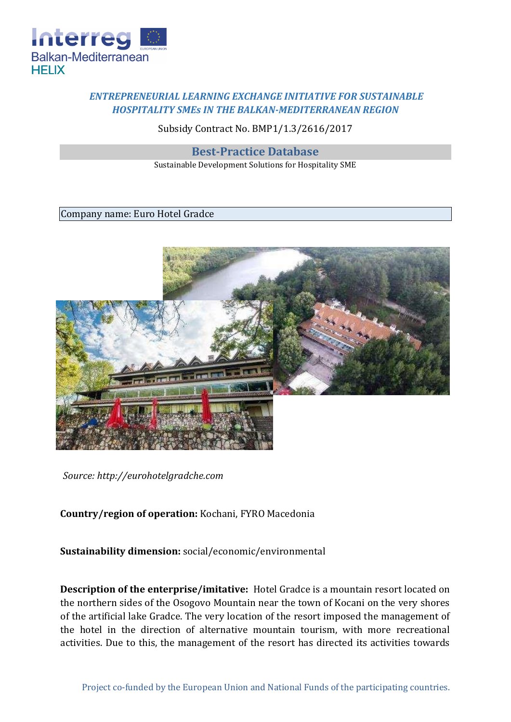

# *ENTREPRENEURIAL LEARNING EXCHANGE INITIATIVE FOR SUSTAINABLE HOSPITALITY SMEs IN THE BALKAN-MEDITERRANEAN REGION*

### Subsidy Contract No. BMP1/1.3/2616/2017

#### **Best-Practice Database**

Sustainable Development Solutions for Hospitality SME

#### Company name: Euro Hotel Gradce



*Source: http://eurohotelgradche.com* 

## **Country/region of operation:** Kochani, FYRO Macedonia

**Sustainability dimension:** social/economic/environmental

**Description of the enterprise/imitative:** Hotel Gradce is a mountain resort located on the northern sides of the Osogovo Mountain near the town of Kocani on the very shores of the artificial lake Gradce. The very location of the resort imposed the management of the hotel in the direction of alternative mountain tourism, with more recreational activities. Due to this, the management of the resort has directed its activities towards